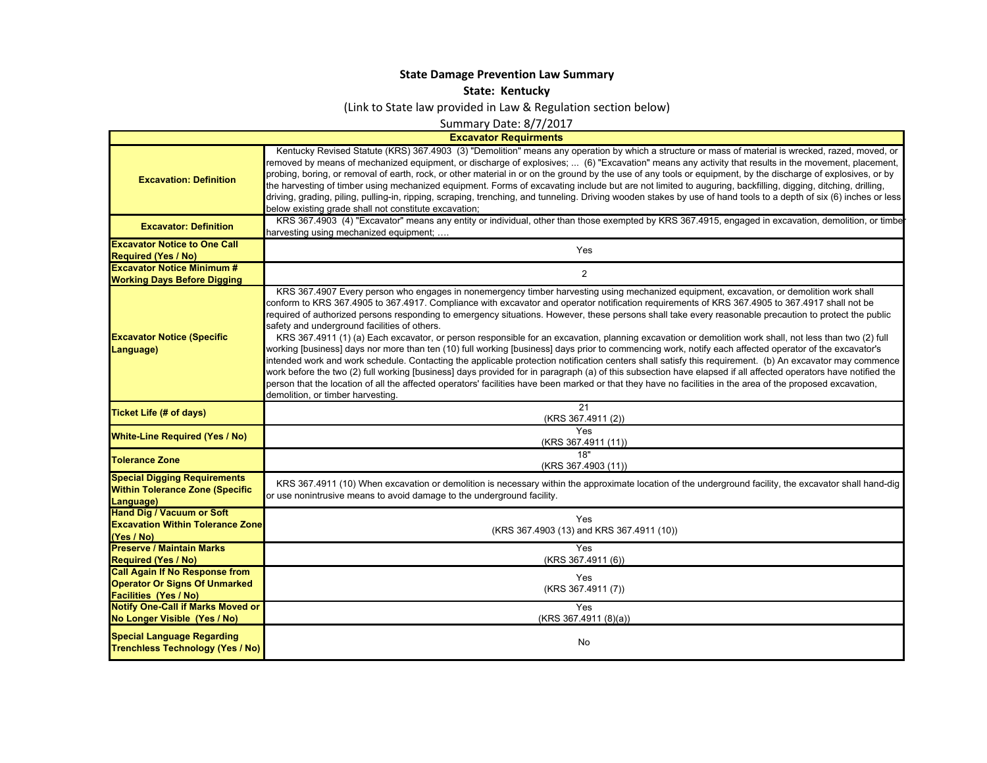## **State Damage Prevention Law Summar y**

**State: Kentucky**

(Link to State law provided in Law & Regulation section below)

Summary Date: 8/7/2017

**Excavator Requirments**

 $\mathsf{L}$ 

| <b>Excavation: Definition</b>                                                              | Kentucky Revised Statute (KRS) 367.4903 (3) "Demolition" means any operation by which a structure or mass of material is wrecked, razed, moved, or<br>removed by means of mechanized equipment, or discharge of explosives;  (6) "Excavation" means any activity that results in the movement, placement,<br>probing, boring, or removal of earth, rock, or other material in or on the ground by the use of any tools or equipment, by the discharge of explosives, or by<br>the harvesting of timber using mechanized equipment. Forms of excavating include but are not limited to auguring, backfilling, digging, ditching, drilling,<br>driving, grading, piling, pulling-in, ripping, scraping, trenching, and tunneling. Driving wooden stakes by use of hand tools to a depth of six (6) inches or less<br>below existing grade shall not constitute excavation;                                                                                                                                                                                                                                                                                                                                       |
|--------------------------------------------------------------------------------------------|----------------------------------------------------------------------------------------------------------------------------------------------------------------------------------------------------------------------------------------------------------------------------------------------------------------------------------------------------------------------------------------------------------------------------------------------------------------------------------------------------------------------------------------------------------------------------------------------------------------------------------------------------------------------------------------------------------------------------------------------------------------------------------------------------------------------------------------------------------------------------------------------------------------------------------------------------------------------------------------------------------------------------------------------------------------------------------------------------------------------------------------------------------------------------------------------------------------|
| <b>Excavator: Definition</b>                                                               | KRS 367.4903 (4) "Excavator" means any entity or individual, other than those exempted by KRS 367.4915, engaged in excavation, demolition, or timbe<br>harvesting using mechanized equipment;                                                                                                                                                                                                                                                                                                                                                                                                                                                                                                                                                                                                                                                                                                                                                                                                                                                                                                                                                                                                                  |
| <b>Excavator Notice to One Call</b>                                                        | Yes                                                                                                                                                                                                                                                                                                                                                                                                                                                                                                                                                                                                                                                                                                                                                                                                                                                                                                                                                                                                                                                                                                                                                                                                            |
| <b>Required (Yes / No)</b>                                                                 |                                                                                                                                                                                                                                                                                                                                                                                                                                                                                                                                                                                                                                                                                                                                                                                                                                                                                                                                                                                                                                                                                                                                                                                                                |
| <b>Excavator Notice Minimum #</b>                                                          | 2                                                                                                                                                                                                                                                                                                                                                                                                                                                                                                                                                                                                                                                                                                                                                                                                                                                                                                                                                                                                                                                                                                                                                                                                              |
| <b>Working Days Before Digging</b>                                                         | KRS 367.4907 Every person who engages in nonemergency timber harvesting using mechanized equipment, excavation, or demolition work shall                                                                                                                                                                                                                                                                                                                                                                                                                                                                                                                                                                                                                                                                                                                                                                                                                                                                                                                                                                                                                                                                       |
| <b>Excavator Notice (Specific</b><br>Language)                                             | conform to KRS 367.4905 to 367.4917. Compliance with excavator and operator notification requirements of KRS 367.4905 to 367.4917 shall not be<br>required of authorized persons responding to emergency situations. However, these persons shall take every reasonable precaution to protect the public<br>safety and underground facilities of others.<br>KRS 367.4911 (1) (a) Each excavator, or person responsible for an excavation, planning excavation or demolition work shall, not less than two (2) full<br>working [business] days nor more than ten (10) full working [business] days prior to commencing work, notify each affected operator of the excavator's<br>intended work and work schedule. Contacting the applicable protection notification centers shall satisfy this requirement. (b) An excavator may commence<br>work before the two (2) full working [business] days provided for in paragraph (a) of this subsection have elapsed if all affected operators have notified the<br>person that the location of all the affected operators' facilities have been marked or that they have no facilities in the area of the proposed excavation,<br>demolition, or timber harvesting. |
| <b>Ticket Life (# of days)</b>                                                             | 21<br>(KRS 367.4911 (2))                                                                                                                                                                                                                                                                                                                                                                                                                                                                                                                                                                                                                                                                                                                                                                                                                                                                                                                                                                                                                                                                                                                                                                                       |
| <b>White-Line Required (Yes / No)</b>                                                      | Yes<br>(KRS 367.4911 (11))                                                                                                                                                                                                                                                                                                                                                                                                                                                                                                                                                                                                                                                                                                                                                                                                                                                                                                                                                                                                                                                                                                                                                                                     |
| <b>Tolerance Zone</b>                                                                      | 18"<br>(KRS 367.4903 (11))                                                                                                                                                                                                                                                                                                                                                                                                                                                                                                                                                                                                                                                                                                                                                                                                                                                                                                                                                                                                                                                                                                                                                                                     |
| <b>Special Digging Requirements</b><br><b>Within Tolerance Zone (Specific</b><br>Language) | KRS 367.4911 (10) When excavation or demolition is necessary within the approximate location of the underground facility, the excavator shall hand-dig<br>or use nonintrusive means to avoid damage to the underground facility.                                                                                                                                                                                                                                                                                                                                                                                                                                                                                                                                                                                                                                                                                                                                                                                                                                                                                                                                                                               |
| <b>Hand Dig / Vacuum or Soft</b><br><b>Excavation Within Tolerance Zone</b><br>(Yes / No)  | Yes<br>(KRS 367.4903 (13) and KRS 367.4911 (10))                                                                                                                                                                                                                                                                                                                                                                                                                                                                                                                                                                                                                                                                                                                                                                                                                                                                                                                                                                                                                                                                                                                                                               |
| <b>Preserve / Maintain Marks</b>                                                           | Yes                                                                                                                                                                                                                                                                                                                                                                                                                                                                                                                                                                                                                                                                                                                                                                                                                                                                                                                                                                                                                                                                                                                                                                                                            |
| <b>Required (Yes / No)</b>                                                                 | (KRS 367.4911 (6))                                                                                                                                                                                                                                                                                                                                                                                                                                                                                                                                                                                                                                                                                                                                                                                                                                                                                                                                                                                                                                                                                                                                                                                             |
| <b>Call Again If No Response from</b>                                                      |                                                                                                                                                                                                                                                                                                                                                                                                                                                                                                                                                                                                                                                                                                                                                                                                                                                                                                                                                                                                                                                                                                                                                                                                                |
| <b>Operator Or Signs Of Unmarked</b>                                                       | Yes<br>(KRS 367.4911 (7))                                                                                                                                                                                                                                                                                                                                                                                                                                                                                                                                                                                                                                                                                                                                                                                                                                                                                                                                                                                                                                                                                                                                                                                      |
| <b>Facilities (Yes / No)</b>                                                               |                                                                                                                                                                                                                                                                                                                                                                                                                                                                                                                                                                                                                                                                                                                                                                                                                                                                                                                                                                                                                                                                                                                                                                                                                |
| <b>Notify One-Call if Marks Moved or</b>                                                   | Yes                                                                                                                                                                                                                                                                                                                                                                                                                                                                                                                                                                                                                                                                                                                                                                                                                                                                                                                                                                                                                                                                                                                                                                                                            |
| No Longer Visible (Yes / No)                                                               | (KRS 367.4911 (8)(a))                                                                                                                                                                                                                                                                                                                                                                                                                                                                                                                                                                                                                                                                                                                                                                                                                                                                                                                                                                                                                                                                                                                                                                                          |
| <b>Special Language Regarding</b><br><b>Trenchless Technology (Yes / No)</b>               | No                                                                                                                                                                                                                                                                                                                                                                                                                                                                                                                                                                                                                                                                                                                                                                                                                                                                                                                                                                                                                                                                                                                                                                                                             |
|                                                                                            |                                                                                                                                                                                                                                                                                                                                                                                                                                                                                                                                                                                                                                                                                                                                                                                                                                                                                                                                                                                                                                                                                                                                                                                                                |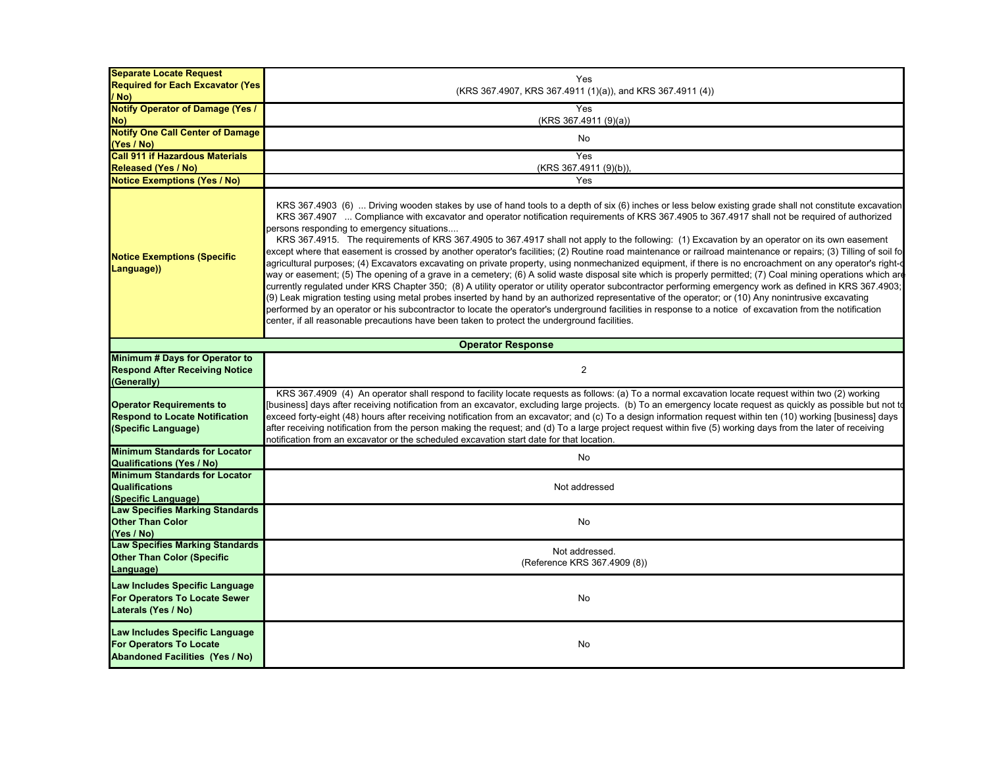| <b>Separate Locate Request</b>                                                                                 |                                                                                                                                                                                                                                                                                                                                                                                                                                                                                                                                                                                                                                                                                                                                                                                                                                                                                                                                                                                                                                                                                                                                                                                                                                                                                                                                                                                                                                                                                                                                                                                           |
|----------------------------------------------------------------------------------------------------------------|-------------------------------------------------------------------------------------------------------------------------------------------------------------------------------------------------------------------------------------------------------------------------------------------------------------------------------------------------------------------------------------------------------------------------------------------------------------------------------------------------------------------------------------------------------------------------------------------------------------------------------------------------------------------------------------------------------------------------------------------------------------------------------------------------------------------------------------------------------------------------------------------------------------------------------------------------------------------------------------------------------------------------------------------------------------------------------------------------------------------------------------------------------------------------------------------------------------------------------------------------------------------------------------------------------------------------------------------------------------------------------------------------------------------------------------------------------------------------------------------------------------------------------------------------------------------------------------------|
| <b>Required for Each Excavator (Yes)</b>                                                                       | Yes                                                                                                                                                                                                                                                                                                                                                                                                                                                                                                                                                                                                                                                                                                                                                                                                                                                                                                                                                                                                                                                                                                                                                                                                                                                                                                                                                                                                                                                                                                                                                                                       |
| / No)                                                                                                          | (KRS 367.4907, KRS 367.4911 (1)(a)), and KRS 367.4911 (4))                                                                                                                                                                                                                                                                                                                                                                                                                                                                                                                                                                                                                                                                                                                                                                                                                                                                                                                                                                                                                                                                                                                                                                                                                                                                                                                                                                                                                                                                                                                                |
| <b>Notify Operator of Damage (Yes /</b>                                                                        | Yes                                                                                                                                                                                                                                                                                                                                                                                                                                                                                                                                                                                                                                                                                                                                                                                                                                                                                                                                                                                                                                                                                                                                                                                                                                                                                                                                                                                                                                                                                                                                                                                       |
| No)                                                                                                            | (KRS 367.4911 (9)(a))                                                                                                                                                                                                                                                                                                                                                                                                                                                                                                                                                                                                                                                                                                                                                                                                                                                                                                                                                                                                                                                                                                                                                                                                                                                                                                                                                                                                                                                                                                                                                                     |
| <b>Notify One Call Center of Damage</b>                                                                        | No                                                                                                                                                                                                                                                                                                                                                                                                                                                                                                                                                                                                                                                                                                                                                                                                                                                                                                                                                                                                                                                                                                                                                                                                                                                                                                                                                                                                                                                                                                                                                                                        |
| (Yes / No)                                                                                                     |                                                                                                                                                                                                                                                                                                                                                                                                                                                                                                                                                                                                                                                                                                                                                                                                                                                                                                                                                                                                                                                                                                                                                                                                                                                                                                                                                                                                                                                                                                                                                                                           |
| <b>Call 911 if Hazardous Materials</b>                                                                         | Yes                                                                                                                                                                                                                                                                                                                                                                                                                                                                                                                                                                                                                                                                                                                                                                                                                                                                                                                                                                                                                                                                                                                                                                                                                                                                                                                                                                                                                                                                                                                                                                                       |
| <b>Released (Yes / No)</b>                                                                                     | (KRS 367.4911 (9)(b)),                                                                                                                                                                                                                                                                                                                                                                                                                                                                                                                                                                                                                                                                                                                                                                                                                                                                                                                                                                                                                                                                                                                                                                                                                                                                                                                                                                                                                                                                                                                                                                    |
| <b>Notice Exemptions (Yes / No)</b>                                                                            | Yes                                                                                                                                                                                                                                                                                                                                                                                                                                                                                                                                                                                                                                                                                                                                                                                                                                                                                                                                                                                                                                                                                                                                                                                                                                                                                                                                                                                                                                                                                                                                                                                       |
| <b>Notice Exemptions (Specific</b><br>Language))                                                               | KRS 367.4903 (6)  Driving wooden stakes by use of hand tools to a depth of six (6) inches or less below existing grade shall not constitute excavation<br>KRS 367.4907  Compliance with excavator and operator notification requirements of KRS 367.4905 to 367.4917 shall not be required of authorized<br>persons responding to emergency situations<br>KRS 367.4915. The requirements of KRS 367.4905 to 367.4917 shall not apply to the following: (1) Excavation by an operator on its own easement<br>except where that easement is crossed by another operator's facilities; (2) Routine road maintenance or railroad maintenance or repairs; (3) Tilling of soil fo<br>agricultural purposes; (4) Excavators excavating on private property, using nonmechanized equipment, if there is no encroachment on any operator's right-<br>way or easement; (5) The opening of a grave in a cemetery; (6) A solid waste disposal site which is properly permitted; (7) Coal mining operations which are<br>currently regulated under KRS Chapter 350; (8) A utility operator or utility operator subcontractor performing emergency work as defined in KRS 367.4903;<br>(9) Leak migration testing using metal probes inserted by hand by an authorized representative of the operator; or (10) Any nonintrusive excavating<br>performed by an operator or his subcontractor to locate the operator's underground facilities in response to a notice of excavation from the notification<br>center, if all reasonable precautions have been taken to protect the underground facilities. |
|                                                                                                                | <b>Operator Response</b>                                                                                                                                                                                                                                                                                                                                                                                                                                                                                                                                                                                                                                                                                                                                                                                                                                                                                                                                                                                                                                                                                                                                                                                                                                                                                                                                                                                                                                                                                                                                                                  |
| Minimum # Days for Operator to                                                                                 |                                                                                                                                                                                                                                                                                                                                                                                                                                                                                                                                                                                                                                                                                                                                                                                                                                                                                                                                                                                                                                                                                                                                                                                                                                                                                                                                                                                                                                                                                                                                                                                           |
| <b>Respond After Receiving Notice</b>                                                                          | 2                                                                                                                                                                                                                                                                                                                                                                                                                                                                                                                                                                                                                                                                                                                                                                                                                                                                                                                                                                                                                                                                                                                                                                                                                                                                                                                                                                                                                                                                                                                                                                                         |
| (Generally)<br><b>Operator Requirements to</b><br><b>Respond to Locate Notification</b><br>(Specific Language) | KRS 367.4909 (4) An operator shall respond to facility locate requests as follows: (a) To a normal excavation locate request within two (2) working<br>[business] days after receiving notification from an excavator, excluding large projects. (b) To an emergency locate request as quickly as possible but not to<br>exceed forty-eight (48) hours after receiving notification from an excavator; and (c) To a design information request within ten (10) working [business] days<br>after receiving notification from the person making the request; and (d) To a large project request within five (5) working days from the later of receiving<br>notification from an excavator or the scheduled excavation start date for that location.                                                                                                                                                                                                                                                                                                                                                                                                                                                                                                                                                                                                                                                                                                                                                                                                                                        |
| <b>Minimum Standards for Locator</b><br><b>Qualifications (Yes / No)</b>                                       | No                                                                                                                                                                                                                                                                                                                                                                                                                                                                                                                                                                                                                                                                                                                                                                                                                                                                                                                                                                                                                                                                                                                                                                                                                                                                                                                                                                                                                                                                                                                                                                                        |
| <b>Minimum Standards for Locator</b><br><b>Qualifications</b><br>(Specific Language)                           | Not addressed                                                                                                                                                                                                                                                                                                                                                                                                                                                                                                                                                                                                                                                                                                                                                                                                                                                                                                                                                                                                                                                                                                                                                                                                                                                                                                                                                                                                                                                                                                                                                                             |
| <b>Law Specifies Marking Standards</b><br><b>Other Than Color</b><br>(Yes / No)                                | No                                                                                                                                                                                                                                                                                                                                                                                                                                                                                                                                                                                                                                                                                                                                                                                                                                                                                                                                                                                                                                                                                                                                                                                                                                                                                                                                                                                                                                                                                                                                                                                        |
| <b>Law Specifies Marking Standards</b><br><b>Other Than Color (Specific</b><br>Language)                       | Not addressed.<br>(Reference KRS 367.4909 (8))                                                                                                                                                                                                                                                                                                                                                                                                                                                                                                                                                                                                                                                                                                                                                                                                                                                                                                                                                                                                                                                                                                                                                                                                                                                                                                                                                                                                                                                                                                                                            |
| Law Includes Specific Language<br>For Operators To Locate Sewer<br>Laterals (Yes / No)                         | No                                                                                                                                                                                                                                                                                                                                                                                                                                                                                                                                                                                                                                                                                                                                                                                                                                                                                                                                                                                                                                                                                                                                                                                                                                                                                                                                                                                                                                                                                                                                                                                        |
| Law Includes Specific Language<br><b>For Operators To Locate</b><br><b>Abandoned Facilities (Yes / No)</b>     | No                                                                                                                                                                                                                                                                                                                                                                                                                                                                                                                                                                                                                                                                                                                                                                                                                                                                                                                                                                                                                                                                                                                                                                                                                                                                                                                                                                                                                                                                                                                                                                                        |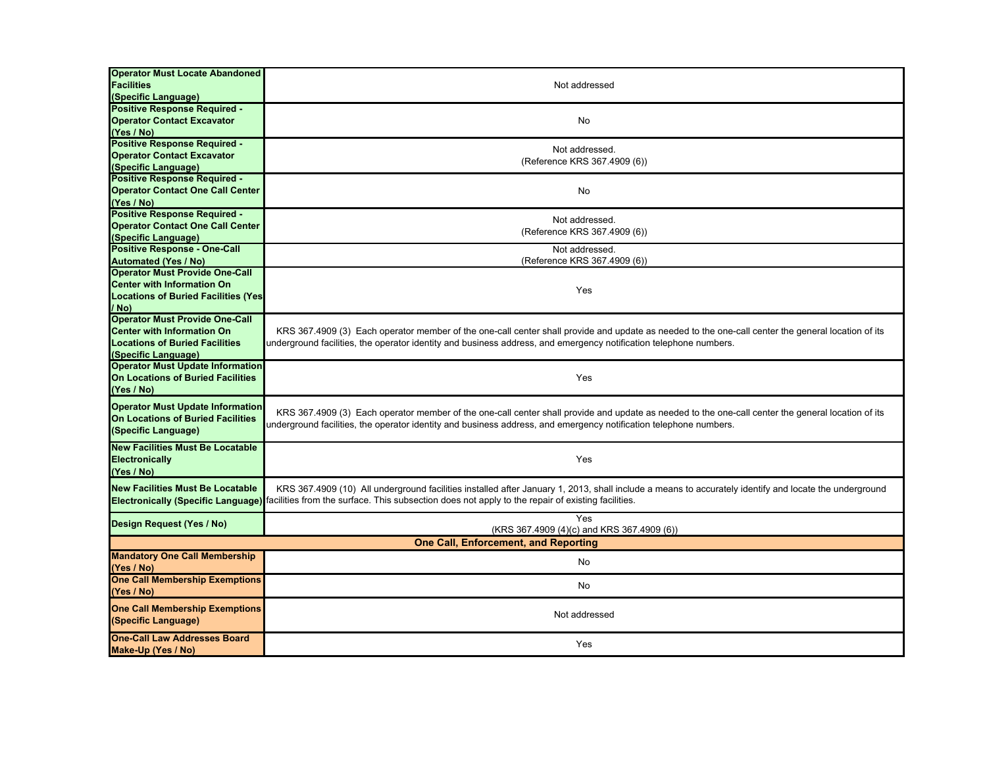| <b>Operator Must Locate Abandoned</b><br><b>Facilities</b><br>(Specific Language)                                                          | Not addressed                                                                                                                                                                                                                                                                                 |  |
|--------------------------------------------------------------------------------------------------------------------------------------------|-----------------------------------------------------------------------------------------------------------------------------------------------------------------------------------------------------------------------------------------------------------------------------------------------|--|
| <b>Positive Response Required -</b><br><b>Operator Contact Excavator</b><br>(Yes / No)                                                     | No                                                                                                                                                                                                                                                                                            |  |
| <b>Positive Response Required -</b><br><b>Operator Contact Excavator</b><br>(Specific Language)                                            | Not addressed.<br>(Reference KRS 367.4909 (6))                                                                                                                                                                                                                                                |  |
| <b>Positive Response Required -</b><br><b>Operator Contact One Call Center</b><br>(Yes / No)                                               | No                                                                                                                                                                                                                                                                                            |  |
| <b>Positive Response Required -</b><br><b>Operator Contact One Call Center</b><br>(Specific Language)                                      | Not addressed.<br>(Reference KRS 367.4909 (6))                                                                                                                                                                                                                                                |  |
| <b>Positive Response - One-Call</b><br><b>Automated (Yes / No)</b>                                                                         | Not addressed.<br>(Reference KRS 367.4909 (6))                                                                                                                                                                                                                                                |  |
| <b>Operator Must Provide One-Call</b><br><b>Center with Information On</b><br><b>Locations of Buried Facilities (Yes)</b><br>/ No)         | Yes                                                                                                                                                                                                                                                                                           |  |
| <b>Operator Must Provide One-Call</b><br><b>Center with Information On</b><br><b>Locations of Buried Facilities</b><br>(Specific Language) | KRS 367.4909 (3) Each operator member of the one-call center shall provide and update as needed to the one-call center the general location of its<br>underground facilities, the operator identity and business address, and emergency notification telephone numbers.                       |  |
| <b>Operator Must Update Information</b><br>On Locations of Buried Facilities<br>(Yes / No)                                                 | Yes                                                                                                                                                                                                                                                                                           |  |
| <b>Operator Must Update Information</b><br><b>On Locations of Buried Facilities</b><br>(Specific Language)                                 | KRS 367.4909 (3) Each operator member of the one-call center shall provide and update as needed to the one-call center the general location of its<br>underground facilities, the operator identity and business address, and emergency notification telephone numbers.                       |  |
| <b>New Facilities Must Be Locatable</b><br><b>Electronically</b><br>(Yes / No)                                                             | Yes                                                                                                                                                                                                                                                                                           |  |
| <b>New Facilities Must Be Locatable</b>                                                                                                    | KRS 367.4909 (10) All underground facilities installed after January 1, 2013, shall include a means to accurately identify and locate the underground<br>Electronically (Specific Language) facilities from the surface. This subsection does not apply to the repair of existing facilities. |  |
| Design Request (Yes / No)                                                                                                                  | Yes<br>(KRS 367.4909 (4)(c) and KRS 367.4909 (6))                                                                                                                                                                                                                                             |  |
| <b>One Call, Enforcement, and Reporting</b>                                                                                                |                                                                                                                                                                                                                                                                                               |  |
| <b>Mandatory One Call Membership</b><br>(Yes / No)                                                                                         | No                                                                                                                                                                                                                                                                                            |  |
| <b>One Call Membership Exemptions</b><br>(Yes / No)                                                                                        | No                                                                                                                                                                                                                                                                                            |  |
| <b>One Call Membership Exemptions</b><br>(Specific Language)                                                                               | Not addressed                                                                                                                                                                                                                                                                                 |  |
| <b>One-Call Law Addresses Board</b><br>Make-Up (Yes / No)                                                                                  | Yes                                                                                                                                                                                                                                                                                           |  |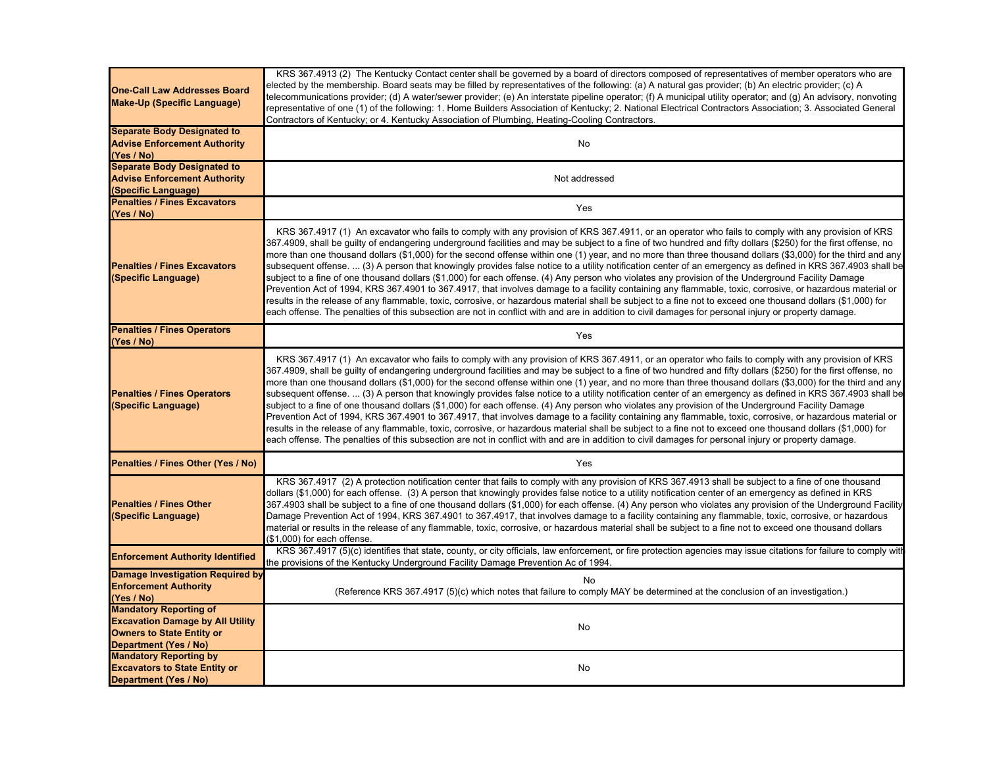| <b>One-Call Law Addresses Board</b><br><b>Make-Up (Specific Language)</b>                                                                    | KRS 367.4913 (2) The Kentucky Contact center shall be governed by a board of directors composed of representatives of member operators who are<br>elected by the membership. Board seats may be filled by representatives of the following: (a) A natural gas provider; (b) An electric provider; (c) A<br>telecommunications provider; (d) A water/sewer provider; (e) An interstate pipeline operator; (f) A municipal utility operator; and (g) An advisory, nonvoting<br>representative of one (1) of the following: 1. Home Builders Association of Kentucky; 2. National Electrical Contractors Association; 3. Associated General<br>Contractors of Kentucky; or 4. Kentucky Association of Plumbing, Heating-Cooling Contractors.                                                                                                                                                                                                                                                                                                                                                                                                                                                                                                                                                       |
|----------------------------------------------------------------------------------------------------------------------------------------------|-------------------------------------------------------------------------------------------------------------------------------------------------------------------------------------------------------------------------------------------------------------------------------------------------------------------------------------------------------------------------------------------------------------------------------------------------------------------------------------------------------------------------------------------------------------------------------------------------------------------------------------------------------------------------------------------------------------------------------------------------------------------------------------------------------------------------------------------------------------------------------------------------------------------------------------------------------------------------------------------------------------------------------------------------------------------------------------------------------------------------------------------------------------------------------------------------------------------------------------------------------------------------------------------------|
| <b>Separate Body Designated to</b><br><b>Advise Enforcement Authority</b><br>(Yes / No)                                                      | No                                                                                                                                                                                                                                                                                                                                                                                                                                                                                                                                                                                                                                                                                                                                                                                                                                                                                                                                                                                                                                                                                                                                                                                                                                                                                              |
| <b>Separate Body Designated to</b><br><b>Advise Enforcement Authority</b><br>(Specific Language)                                             | Not addressed                                                                                                                                                                                                                                                                                                                                                                                                                                                                                                                                                                                                                                                                                                                                                                                                                                                                                                                                                                                                                                                                                                                                                                                                                                                                                   |
| <b>Penalties / Fines Excavators</b><br>(Yes / No)                                                                                            | Yes                                                                                                                                                                                                                                                                                                                                                                                                                                                                                                                                                                                                                                                                                                                                                                                                                                                                                                                                                                                                                                                                                                                                                                                                                                                                                             |
| <b>Penalties / Fines Excavators</b><br>(Specific Language)                                                                                   | KRS 367.4917 (1) An excavator who fails to comply with any provision of KRS 367.4911, or an operator who fails to comply with any provision of KRS<br>367.4909, shall be guilty of endangering underground facilities and may be subject to a fine of two hundred and fifty dollars (\$250) for the first offense, no<br>more than one thousand dollars (\$1,000) for the second offense within one (1) year, and no more than three thousand dollars (\$3,000) for the third and any<br>subsequent offense.  (3) A person that knowingly provides false notice to a utility notification center of an emergency as defined in KRS 367.4903 shall be<br>subject to a fine of one thousand dollars (\$1,000) for each offense. (4) Any person who violates any provision of the Underground Facility Damage<br>Prevention Act of 1994, KRS 367.4901 to 367.4917, that involves damage to a facility containing any flammable, toxic, corrosive, or hazardous material or<br>results in the release of any flammable, toxic, corrosive, or hazardous material shall be subject to a fine not to exceed one thousand dollars (\$1,000) for<br>each offense. The penalties of this subsection are not in conflict with and are in addition to civil damages for personal injury or property damage. |
| <b>Penalties / Fines Operators</b><br>(Yes / No)                                                                                             | Yes                                                                                                                                                                                                                                                                                                                                                                                                                                                                                                                                                                                                                                                                                                                                                                                                                                                                                                                                                                                                                                                                                                                                                                                                                                                                                             |
| <b>Penalties / Fines Operators</b><br>(Specific Language)                                                                                    | KRS 367.4917 (1) An excavator who fails to comply with any provision of KRS 367.4911, or an operator who fails to comply with any provision of KRS<br>367.4909, shall be guilty of endangering underground facilities and may be subject to a fine of two hundred and fifty dollars (\$250) for the first offense, no<br>more than one thousand dollars (\$1,000) for the second offense within one (1) year, and no more than three thousand dollars (\$3,000) for the third and any<br>subsequent offense.  (3) A person that knowingly provides false notice to a utility notification center of an emergency as defined in KRS 367.4903 shall be<br>subject to a fine of one thousand dollars (\$1,000) for each offense. (4) Any person who violates any provision of the Underground Facility Damage<br>Prevention Act of 1994, KRS 367.4901 to 367.4917, that involves damage to a facility containing any flammable, toxic, corrosive, or hazardous material or<br>results in the release of any flammable, toxic, corrosive, or hazardous material shall be subject to a fine not to exceed one thousand dollars (\$1,000) for<br>each offense. The penalties of this subsection are not in conflict with and are in addition to civil damages for personal injury or property damage. |
| Penalties / Fines Other (Yes / No)                                                                                                           | Yes                                                                                                                                                                                                                                                                                                                                                                                                                                                                                                                                                                                                                                                                                                                                                                                                                                                                                                                                                                                                                                                                                                                                                                                                                                                                                             |
| <b>Penalties / Fines Other</b><br>(Specific Language)                                                                                        | KRS 367.4917 (2) A protection notification center that fails to comply with any provision of KRS 367.4913 shall be subject to a fine of one thousand<br>dollars (\$1,000) for each offense. (3) A person that knowingly provides false notice to a utility notification center of an emergency as defined in KRS<br>367.4903 shall be subject to a fine of one thousand dollars (\$1,000) for each offense. (4) Any person who violates any provision of the Underground Facility<br>Damage Prevention Act of 1994, KRS 367.4901 to 367.4917, that involves damage to a facility containing any flammable, toxic, corrosive, or hazardous<br>material or results in the release of any flammable, toxic, corrosive, or hazardous material shall be subject to a fine not to exceed one thousand dollars<br>(\$1,000) for each offense.                                                                                                                                                                                                                                                                                                                                                                                                                                                          |
| <b>Enforcement Authority Identified</b>                                                                                                      | KRS 367.4917 (5)(c) identifies that state, county, or city officials, law enforcement, or fire protection agencies may issue citations for failure to comply with<br>the provisions of the Kentucky Underground Facility Damage Prevention Ac of 1994.                                                                                                                                                                                                                                                                                                                                                                                                                                                                                                                                                                                                                                                                                                                                                                                                                                                                                                                                                                                                                                          |
| <b>Damage Investigation Required by</b><br><b>Enforcement Authority</b><br>(Yes / No)                                                        | No<br>(Reference KRS 367.4917 (5)(c) which notes that failure to comply MAY be determined at the conclusion of an investigation.)                                                                                                                                                                                                                                                                                                                                                                                                                                                                                                                                                                                                                                                                                                                                                                                                                                                                                                                                                                                                                                                                                                                                                               |
| <b>Mandatory Reporting of</b><br><b>Excavation Damage by All Utility</b><br><b>Owners to State Entity or</b><br><b>Department (Yes / No)</b> | No                                                                                                                                                                                                                                                                                                                                                                                                                                                                                                                                                                                                                                                                                                                                                                                                                                                                                                                                                                                                                                                                                                                                                                                                                                                                                              |
| <b>Mandatory Reporting by</b><br><b>Excavators to State Entity or</b><br>Department (Yes / No)                                               | No                                                                                                                                                                                                                                                                                                                                                                                                                                                                                                                                                                                                                                                                                                                                                                                                                                                                                                                                                                                                                                                                                                                                                                                                                                                                                              |